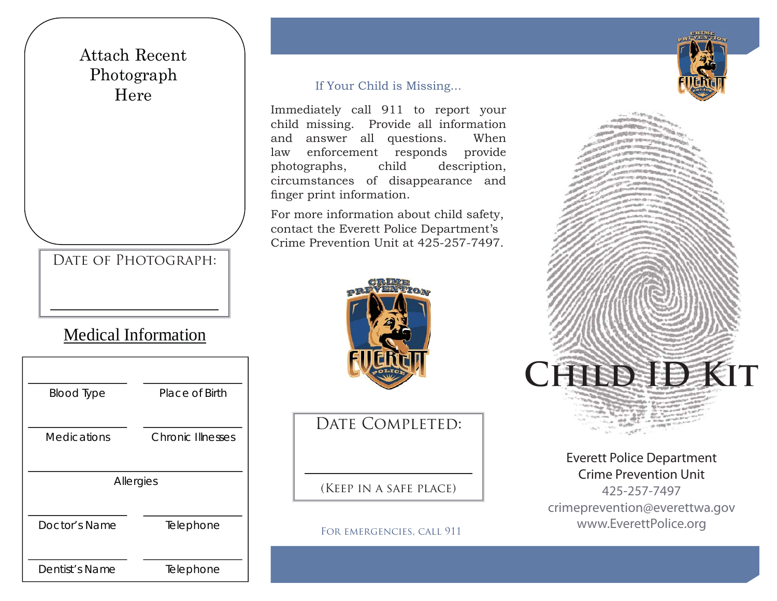## Attach Recent Photograph Here

DATE OF PHOTOGRAPH:

# Medical Information

| <b>Blood Type</b>  | Place of Birth           |  |  |
|--------------------|--------------------------|--|--|
|                    |                          |  |  |
| <b>Medications</b> | <b>Chronic Illnesses</b> |  |  |
|                    |                          |  |  |
| Allergies          |                          |  |  |
|                    |                          |  |  |
| Doctor's Name      | Telephone                |  |  |
|                    |                          |  |  |
| Dentist's Name     | Telephone                |  |  |

#### If Your Child is Missing...

Immediately call 911 to report your child missing. Provide all information and answer all questions. When law enforcement responds provide photographs, child description, circumstances of disappearance and finger print information.

For more information about child safety, contact the Everett Police Department's Crime Prevention Unit at 425-257-7497.



DATE COMPLETED:

(Keep in a safe place)

For emergencies, call 911



Everett Police Department Crime Prevention Unit425-257-7497

**Child ID Kit**

crimeprevention@everettwa.gov www.EverettPolice.org